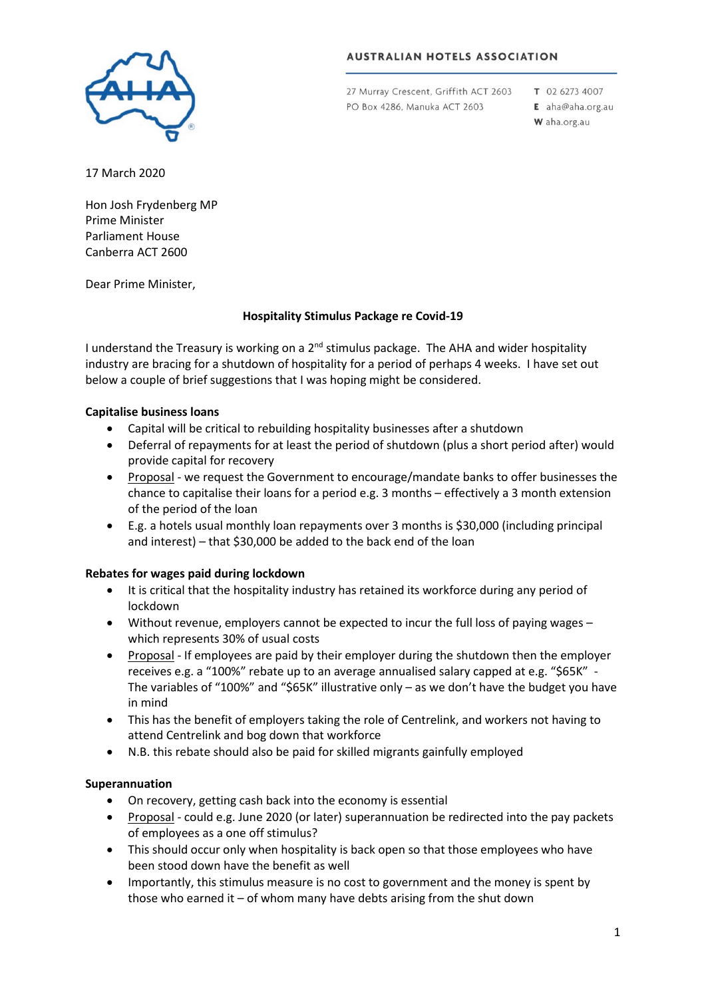

# **AUSTRALIAN HOTELS ASSOCIATION**

27 Murray Crescent, Griffith ACT 2603 PO Box 4286, Manuka ACT 2603

T 02 6273 4007 E aha@aha.org.au W aha.org.au

17 March 2020

Hon Josh Frydenberg MP Prime Minister Parliament House Canberra ACT 2600

Dear Prime Minister,

## **Hospitality Stimulus Package re Covid-19**

I understand the Treasury is working on a  $2^{nd}$  stimulus package. The AHA and wider hospitality industry are bracing for a shutdown of hospitality for a period of perhaps 4 weeks. I have set out below a couple of brief suggestions that I was hoping might be considered.

## **Capitalise business loans**

- Capital will be critical to rebuilding hospitality businesses after a shutdown
- Deferral of repayments for at least the period of shutdown (plus a short period after) would provide capital for recovery
- Proposal we request the Government to encourage/mandate banks to offer businesses the chance to capitalise their loans for a period e.g. 3 months – effectively a 3 month extension of the period of the loan
- E.g. a hotels usual monthly loan repayments over 3 months is \$30,000 (including principal and interest) – that \$30,000 be added to the back end of the loan

### **Rebates for wages paid during lockdown**

- It is critical that the hospitality industry has retained its workforce during any period of lockdown
- Without revenue, employers cannot be expected to incur the full loss of paying wages which represents 30% of usual costs
- Proposal If employees are paid by their employer during the shutdown then the employer receives e.g. a "100%" rebate up to an average annualised salary capped at e.g. "\$65K" - The variables of "100%" and "\$65K" illustrative only – as we don't have the budget you have in mind
- This has the benefit of employers taking the role of Centrelink, and workers not having to attend Centrelink and bog down that workforce
- N.B. this rebate should also be paid for skilled migrants gainfully employed

### **Superannuation**

- On recovery, getting cash back into the economy is essential
- Proposal could e.g. June 2020 (or later) superannuation be redirected into the pay packets of employees as a one off stimulus?
- This should occur only when hospitality is back open so that those employees who have been stood down have the benefit as well
- Importantly, this stimulus measure is no cost to government and the money is spent by those who earned it – of whom many have debts arising from the shut down